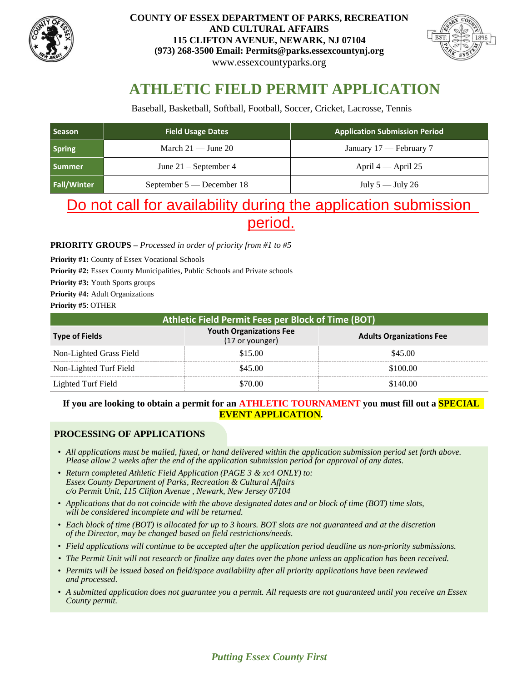



# **ATHLETIC FIELD PERMIT APPLICATION**

Baseball, Basketball, Softball, Football, Soccer, Cricket, Lacrosse, Tennis

| Season             | <b>Field Usage Dates</b>    | <b>Application Submission Period</b> |
|--------------------|-----------------------------|--------------------------------------|
| <b>Spring</b>      | March $21 -$ June $20$      | January 17 — February 7              |
| <b>Summer</b>      | June $21$ – September 4     | April $4$ — April 25                 |
| <b>Fall/Winter</b> | September $5$ — December 18 | July $5 -$ July 26                   |

# Do not call for availability during the application submission period.

#### **PRIORITY GROUPS –** *Processed in order of priority from #1 to #5*

Priority #1: County of Essex Vocational Schools

Priority #2: Essex County Municipalities, Public Schools and Private schools

**Priority #3:** Youth Sports groups

**Priority #4:** Adult Organizations

**Priority #5**: OTHER

| Athletic Field Permit Fees per Block of Time (BOT) |                                                   |                                 |  |  |  |  |  |  |  |
|----------------------------------------------------|---------------------------------------------------|---------------------------------|--|--|--|--|--|--|--|
| <b>Type of Fields</b>                              | <b>Youth Organizations Fee</b><br>(17 or younger) | <b>Adults Organizations Fee</b> |  |  |  |  |  |  |  |
| Non-Lighted Grass Field                            | \$15.00                                           | \$45.00                         |  |  |  |  |  |  |  |
| Non-Lighted Turf Field                             | \$45.00                                           | \$100.00                        |  |  |  |  |  |  |  |
| Lighted Turf Field                                 | :70 OO                                            | \$140.00                        |  |  |  |  |  |  |  |

### **If you are looking to obtain a permit for an ATHLETIC TOURNAMENT you must fill out a SPECIAL EVENT APPLICATION.**

## **PROCESSING OF APPLICATIONS**

- *All applications must be mailed, faxed, or hand delivered within the application submission period set forth above. Please allow 2 weeks after the end of the application submission period for approval of any dates.*
- *Return completed Athletic Field Application (PAGE 3 & xc4 ONLY) to: Essex County Department of Parks, Recreation & Cultural Affairs c/o Permit Unit, 115 Clifton Avenue , Newark, New Jersey 07104*
- *Applications that do not coincide with the above designated dates and or block of time (BOT) time slots, will be considered incomplete and will be returned.*
- *Each block of time (BOT) is allocated for up to 3 hours. BOT slots are not guaranteed and at the discretion of the Director, may be changed based on field restrictions/needs.*
- *Field applications will continue to be accepted after the application period deadline as non-priority submissions.*
- *The Permit Unit will not research or finalize any dates over the phone unless an application has been received.*
- *Permits will be issued based on field/space availability after all priority applications have been reviewed and processed.*
- *A submitted application does not guarantee you a permit. All requests are not guaranteed until you receive an Essex County permit.*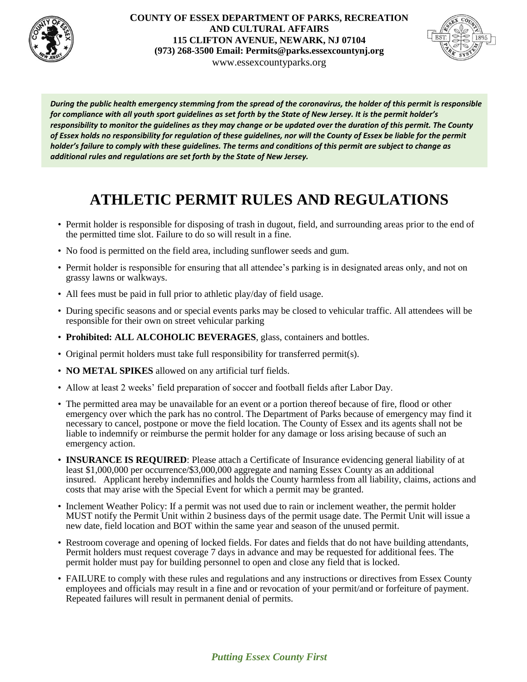



*During the public health emergency stemming from the spread of the coronavirus, the holder of this permit is responsible for compliance with all youth sport guidelines as set forth by the State of New Jersey. It is the permit holder's responsibility to monitor the guidelines as they may change or be updated over the duration of this permit. The County of Essex holds no responsibility for regulation of these guidelines, nor will the County of Essex be liable for the permit holder's failure to comply with these guidelines. The terms and conditions of this permit are subject to change as additional rules and regulations are set forth by the State of New Jersey.*

# **ATHLETIC PERMIT RULES AND REGULATIONS**

- Permit holder is responsible for disposing of trash in dugout, field, and surrounding areas prior to the end of the permitted time slot. Failure to do so will result in a fine.
- No food is permitted on the field area, including sunflower seeds and gum.
- Permit holder is responsible for ensuring that all attendee's parking is in designated areas only, and not on grassy lawns or walkways.
- All fees must be paid in full prior to athletic play/day of field usage.
- During specific seasons and or special events parks may be closed to vehicular traffic. All attendees will be responsible for their own on street vehicular parking
- **Prohibited: ALL ALCOHOLIC BEVERAGES**, glass, containers and bottles.
- Original permit holders must take full responsibility for transferred permit(s).
- **NO METAL SPIKES** allowed on any artificial turf fields.
- Allow at least 2 weeks' field preparation of soccer and football fields after Labor Day.
- The permitted area may be unavailable for an event or a portion thereof because of fire, flood or other emergency over which the park has no control. The Department of Parks because of emergency may find it necessary to cancel, postpone or move the field location. The County of Essex and its agents shall not be liable to indemnify or reimburse the permit holder for any damage or loss arising because of such an emergency action.
- **INSURANCE IS REQUIRED**: Please attach a Certificate of Insurance evidencing general liability of at least \$1,000,000 per occurrence/\$3,000,000 aggregate and naming Essex County as an additional insured. Applicant hereby indemnifies and holds the County harmless from all liability, claims, actions and costs that may arise with the Special Event for which a permit may be granted.
- Inclement Weather Policy: If a permit was not used due to rain or inclement weather, the permit holder MUST notify the Permit Unit within 2 business days of the permit usage date. The Permit Unit will issue a new date, field location and BOT within the same year and season of the unused permit.
- Restroom coverage and opening of locked fields. For dates and fields that do not have building attendants, Permit holders must request coverage 7 days in advance and may be requested for additional fees. The permit holder must pay for building personnel to open and close any field that is locked.
- FAILURE to comply with these rules and regulations and any instructions or directives from Essex County employees and officials may result in a fine and or revocation of your permit/and or forfeiture of payment. Repeated failures will result in permanent denial of permits.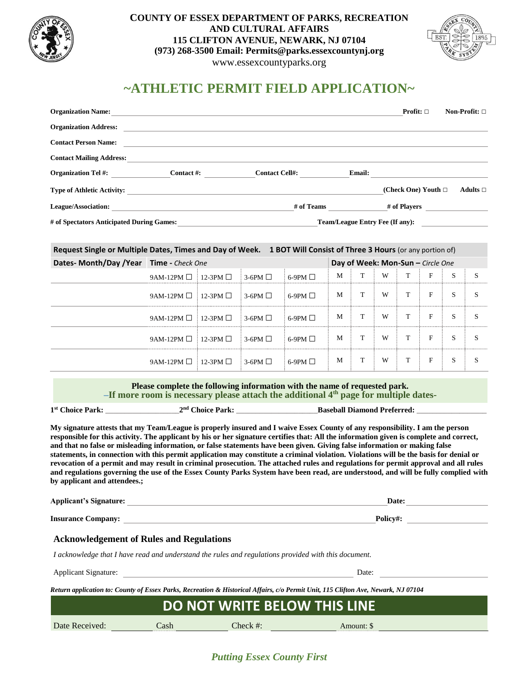



# **~ATHLETIC PERMIT FIELD APPLICATION~**

| <b>Organization Name:</b>                 |            |                       |                                        | <b>Profit:</b> $\square$    | Non-Profit: $\square$ |
|-------------------------------------------|------------|-----------------------|----------------------------------------|-----------------------------|-----------------------|
| <b>Organization Address:</b>              |            |                       |                                        |                             |                       |
| <b>Contact Person Name:</b>               |            |                       |                                        |                             |                       |
| <b>Contact Mailing Address:</b>           |            |                       |                                        |                             |                       |
| <b>Organization Tel #:</b>                | Contact #: | <b>Contact Cell#:</b> | <b>Email:</b>                          |                             |                       |
| <b>Type of Athletic Activity:</b>         |            |                       |                                        | (Check One) Youth $\square$ | Adults $\square$      |
| <b>League/Association:</b>                |            | # of Teams            |                                        | # of Players                |                       |
| # of Spectators Anticipated During Games: |            |                       | <b>Team/League Entry Fee (If any):</b> |                             |                       |

#### **Request Single or Multiple Dates, Times and Day of Week. 1 BOT Will Consist of Three 3 Hours** (or any portion of)

| Dates- Month/Day / Year Time - Check One |                                                         |  |                 |                 |   | Day of Week: Mon-Sun - Circle One |   |  |   |   |  |  |
|------------------------------------------|---------------------------------------------------------|--|-----------------|-----------------|---|-----------------------------------|---|--|---|---|--|--|
|                                          | 9AM-12PM $\Box$ 12-3PM $\Box$                           |  | $3-6$ PM $\Box$ | 6-9PM $\Box$    | M | <sup>T</sup>                      | W |  | F | S |  |  |
|                                          | $9AM-12PM \Box 12-3PM \Box 3-6PM \Box$                  |  |                 | 6-9PM $\Box$    | M | T                                 | W |  | F | S |  |  |
|                                          | $9AM-12PM \Box 12-3PM \Box 3-6PM \Box$                  |  |                 | $6-9$ PM $\Box$ | M | T                                 | W |  | F |   |  |  |
|                                          | $9AM-12PM \Box 12-3PM \Box 3-6PM \Box$                  |  |                 | $6-9$ PM $\Box$ | M | T                                 | W |  | F | S |  |  |
|                                          | $9AM-12PM \square$ : 12-3PM $\square$ : 3-6PM $\square$ |  |                 | 6-9PM $\Box$    | M | T                                 | W |  | F | S |  |  |

#### **Please complete the following information with the name of requested park. –If more room is necessary please attach the additional 4th page for multiple dates-**

| 1 <sup>st</sup> Choice Park: | 2 <sup>nd</sup> Choice Park: | <b>Baseball Diamond Preferred:</b> |  |
|------------------------------|------------------------------|------------------------------------|--|
|                              |                              |                                    |  |

**My signature attests that my Team/League is properly insured and I waive Essex County of any responsibility. I am the person responsible for this activity. The applicant by his or her signature certifies that: All the information given is complete and correct, and that no false or misleading information, or false statements have been given. Giving false information or making false statements, in connection with this permit application may constitute a criminal violation. Violations will be the basis for denial or revocation of a permit and may result in criminal prosecution. The attached rules and regulations for permit approval and all rules and regulations governing the use of the Essex County Parks System have been read, are understood, and will be fully complied with by applicant and attendees.;**

| Applicant's Signature:    | <b>Date:</b> |  |  |  |
|---------------------------|--------------|--|--|--|
|                           |              |  |  |  |
| <b>Insurance Company:</b> | Policy#:     |  |  |  |

#### **Acknowledgement of Rules and Regulations**

*I acknowledge that I have read and understand the rules and regulations provided with this document.*

Applicant Signature:

Date:

*Return application to: County of Essex Parks, Recreation & Historical Affairs, c/o Permit Unit, 115 Clifton Ave, Newark, NJ 07104*

| <b>DO NOT WRITE BELOW THIS LINE</b> |      |          |            |  |  |  |  |  |
|-------------------------------------|------|----------|------------|--|--|--|--|--|
| Date Received:                      | Cash | Check #: | Amount: \$ |  |  |  |  |  |